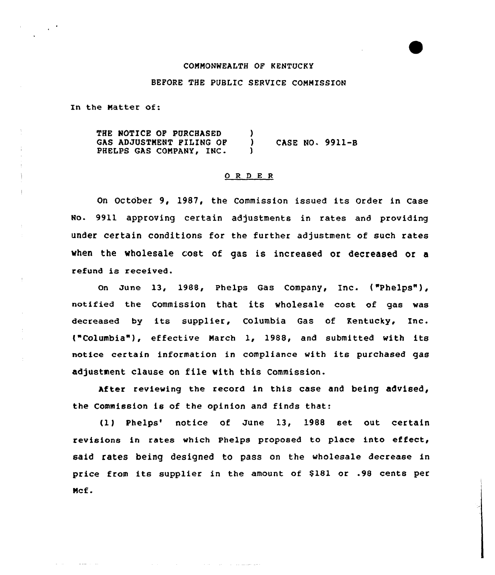### COMMONWEALTH OP KENTUCKY

## BEFORE THE PUBLIC SERVICE COMMISSION

In the Natter of:

 $\mathbf{I}$ 

 $\alpha$ 

THE NOTICE OF PURCHASED GAS ADJUSTMENT PILING OF PHELPS GAS COMPANY, INC. ) ) CASE NO- 9911-B )

### 0 R <sup>D</sup> E R

On October 9, 1987, the Commission issued its order in Case No- 9911 approving certain adjustments in rates and providing under certain conditions for the further adjustment of such rates when the wholesale cost of gas is increased or decreased or a refund is received.

on June 13, 1988, Phelps Gas Company, Inc. ("Phelps" ), notified the commission that its wholesale cost of gas was decreased by its supplier, Columbia Gas of Kentucky, Inc. t"Columbia"), effective March 1, 1988, and submitted with its notice certain information in compliance with its purchased gas adjustment clause on file with this Commission.

After reviewing the record in this case and being advised, the Commission is of the opinion and finds that:

(1) Phelps' notice of June 13, 1988 set out certain revisions in rates which Phelps proposed to place into effect, said rates being designed to pass on the wholesale decrease in price from its supplier in the amount of \$181 or .98 cents per Mcf.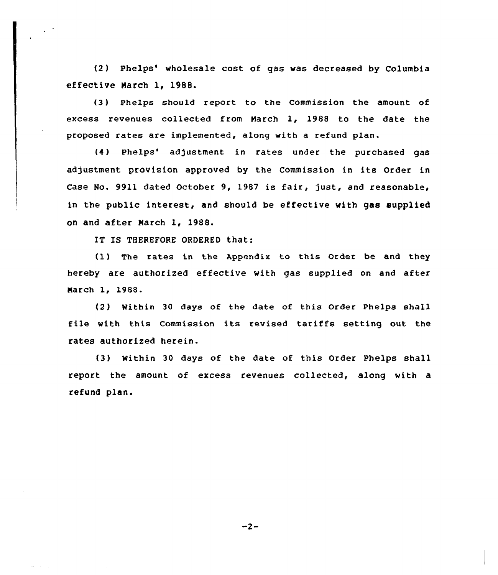(2 ) Phelps'holesale cost of gas was decreased by Columbia effective March 1, 1988.

(3} Phelps should report to the Commission the amount of excess revenues collected from March 1, 1988 to the date the proposed rates are implemented, along with a refund plan.

(4) Phelps' adjustment in rates under the purchased gas adjustment provision approved by the Commission in its Order in Case No. 9911 dated October 9, 1987 is fair, just, and reasonable, in the public interest, and should be effective with gas supplied on and after March 1, 1988

IT IS THEREFORE ORDERED that:

(1) The rates in the Appendix to this Order be and they hereby are authorized effective with gas supplied on and after March 1, 1988.

(2) Within 30 days of the date of this Order Phelps shall file with this Commission its revised tariffs setting out the rates authorized herein.

(3) Within 30 days of the date of this Order Phelps shall report the amount of excess revenues collected, along with a refund plan.

 $-2-$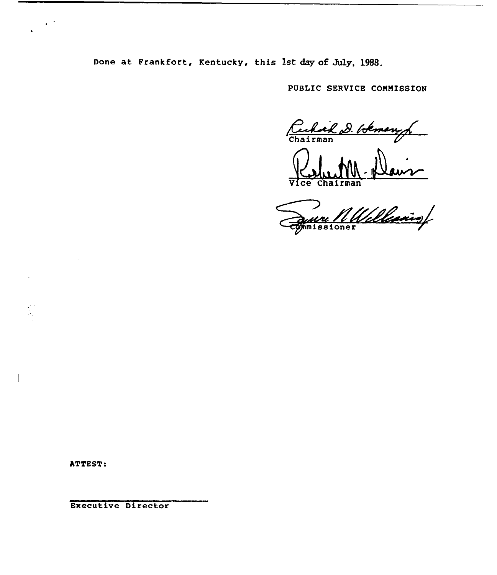Done at Frankfort, Kentucky, this 1st day of July, 1988.

PUBLIC SERVICE CDMMISSION

Ruboil D. Hemany

Více Chairma

sione

ATTEST:

Executive Director